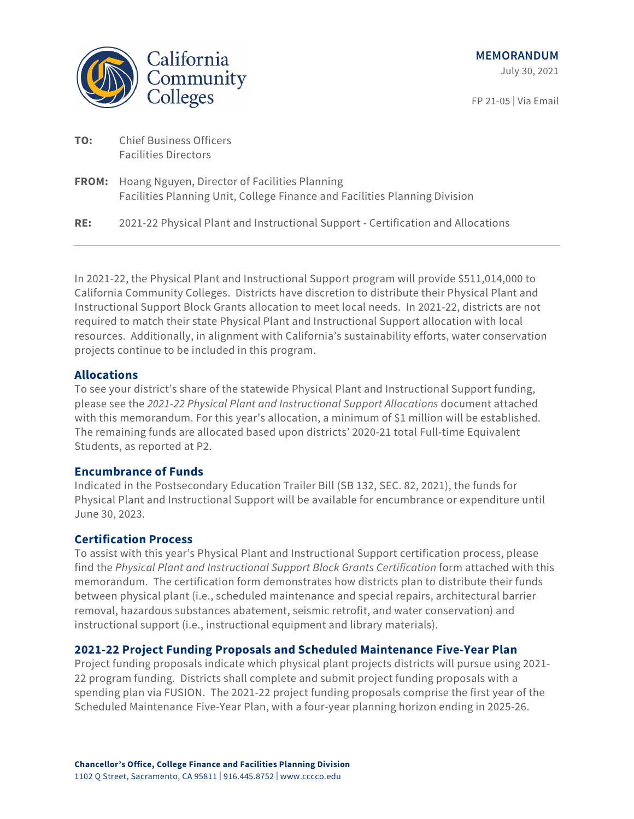

FP 21-05 | Via Email

| TO: | <b>Chief Business Officers</b> |
|-----|--------------------------------|
|     | <b>Facilities Directors</b>    |

| <b>FROM:</b> Hoang Nguyen, Director of Facilities Planning                 |
|----------------------------------------------------------------------------|
| Facilities Planning Unit, College Finance and Facilities Planning Division |

**RE:** 2021-22 Physical Plant and Instructional Support - Certification and Allocations

In 2021-22, the Physical Plant and Instructional Support program will provide \$511,014,000 to California Community Colleges. Districts have discretion to distribute their Physical Plant and Instructional Support Block Grants allocation to meet local needs. In 2021-22, districts are not required to match their state Physical Plant and Instructional Support allocation with local resources. Additionally, in alignment with California's sustainability efforts, water conservation projects continue to be included in this program.

## **Allocations**

To see your district's share of the statewide Physical Plant and Instructional Support funding, please see the *2021-22 Physical Plant and Instructional Support Allocations* document attached with this memorandum. For this year's allocation, a minimum of \$1 million will be established. The remaining funds are allocated based upon districts' 2020-21 total Full-time Equivalent Students, as reported at P2.

## **Encumbrance of Funds**

Indicated in the Postsecondary Education Trailer Bill (SB 132, SEC. 82, 2021), the funds for Physical Plant and Instructional Support will be available for encumbrance or expenditure until June 30, 2023.

# **Certification Process**

To assist with this year's Physical Plant and Instructional Support certification process, please find the *Physical Plant and Instructional Support Block Grants Certification* form attached with this memorandum. The certification form demonstrates how districts plan to distribute their funds between physical plant (i.e., scheduled maintenance and special repairs, architectural barrier removal, hazardous substances abatement, seismic retrofit, and water conservation) and instructional support (i.e., instructional equipment and library materials).

## **2021-22 Project Funding Proposals and Scheduled Maintenance Five-Year Plan**

Project funding proposals indicate which physical plant projects districts will pursue using 2021- 22 program funding. Districts shall complete and submit project funding proposals with a spending plan via FUSION. The 2021-22 project funding proposals comprise the first year of the Scheduled Maintenance Five-Year Plan, with a four-year planning horizon ending in 2025-26.